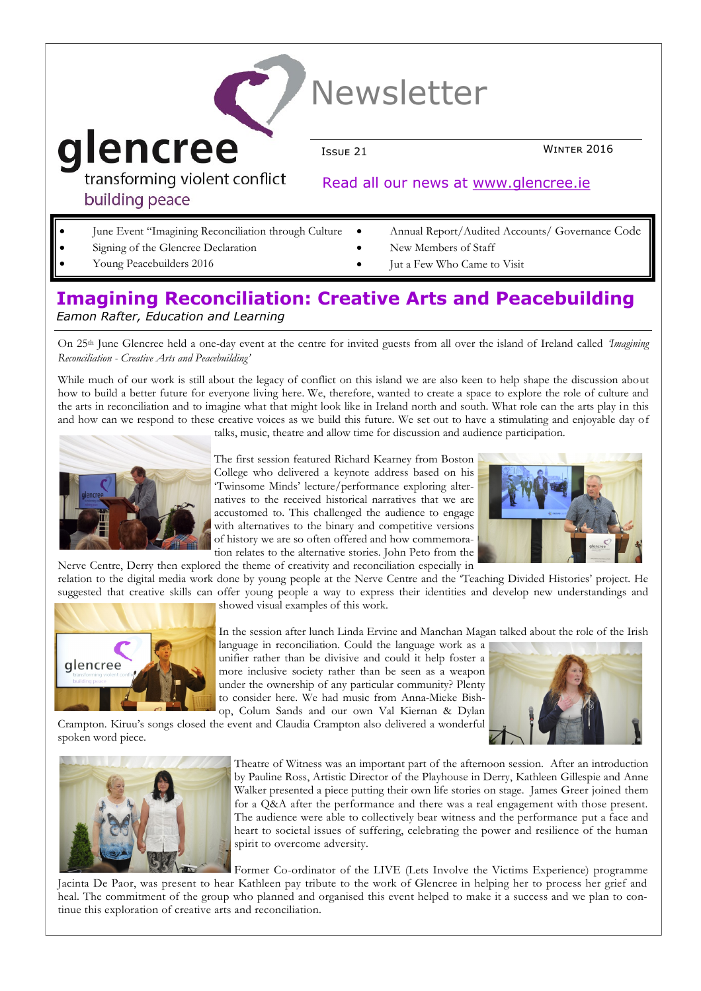| <b>Newsletter</b> |                                                      |                                                 |             |
|-------------------|------------------------------------------------------|-------------------------------------------------|-------------|
|                   | glencree                                             | Issue 21                                        | WINTER 2016 |
|                   | transforming violent conflict<br>building peace      | Read all our news at www.glencree.ie            |             |
|                   | Iune Event "Imagining Reconciliation through Culture | Annual Report/Audited Accounts/ Governance Code |             |

- June Event "Imagining Reconciliation through Culture
- Signing of the Glencree Declaration
- Young Peacebuilders 2016
- Annual Report/Audited Accounts/ Governance Code
- New Members of Staff
- Jut a Few Who Came to Visit

### **Imagining Reconciliation: Creative Arts and Peacebuilding** *Eamon Rafter, Education and Learning*

On 25th June Glencree held a one-day event at the centre for invited guests from all over the island of Ireland called *'Imagining Reconciliation - Creative Arts and Peacebuilding'* 

While much of our work is still about the legacy of conflict on this island we are also keen to help shape the discussion about how to build a better future for everyone living here*.* We, therefore, wanted to create a space to explore the role of culture and the arts in reconciliation and to imagine what that might look like in Ireland north and south. What role can the arts play in this and how can we respond to these creative voices as we build this future. We set out to have a stimulating and enjoyable day of



talks, music, theatre and allow time for discussion and audience participation.

The first session featured Richard Kearney from Boston College who delivered a keynote address based on his 'Twinsome Minds' lecture/performance exploring alternatives to the received historical narratives that we are accustomed to. This challenged the audience to engage with alternatives to the binary and competitive versions of history we are so often offered and how commemoration relates to the alternative stories. John Peto from the



Nerve Centre, Derry then explored the theme of creativity and reconciliation especially in relation to the digital media work done by young people at the Nerve Centre and the 'Teaching Divided Histories' project. He suggested that creative skills can offer young people a way to express their identities and develop new understandings and



spoken word piece.

showed visual examples of this work.

In the session after lunch Linda Ervine and Manchan Magan talked about the role of the Irish

language in reconciliation. Could the language work as a unifier rather than be divisive and could it help foster a more inclusive society rather than be seen as a weapon under the ownership of any particular community? Plenty to consider here. We had music from Anna-Mieke Bishop, Colum Sands and our own Val Kiernan & Dylan

Crampton. Kiruu's songs closed the event and Claudia Crampton also delivered a wonderful



Theatre of Witness was an important part of the afternoon session. After an introduction by Pauline Ross, Artistic Director of the Playhouse in Derry, Kathleen Gillespie and Anne Walker presented a piece putting their own life stories on stage. James Greer joined them for a Q&A after the performance and there was a real engagement with those present. The audience were able to collectively bear witness and the performance put a face and heart to societal issues of suffering, celebrating the power and resilience of the human spirit to overcome adversity.

Former Co-ordinator of the LIVE (Lets Involve the Victims Experience) programme

Jacinta De Paor, was present to hear Kathleen pay tribute to the work of Glencree in helping her to process her grief and heal. The commitment of the group who planned and organised this event helped to make it a success and we plan to continue this exploration of creative arts and reconciliation.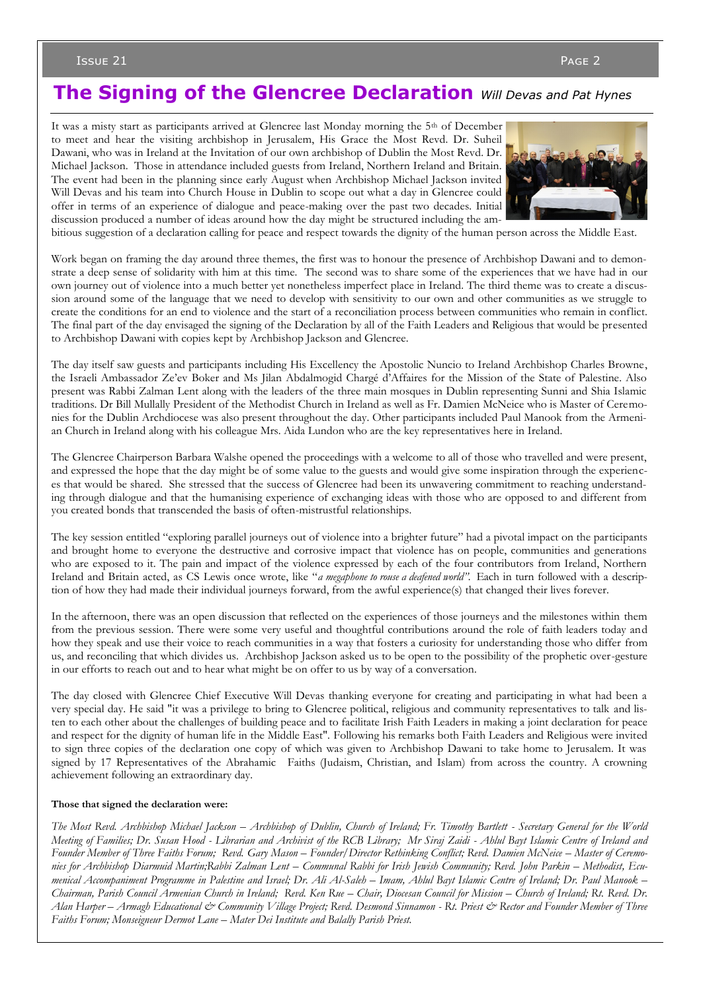Issue 21 Page 2

## **The Signing of the Glencree Declaration** *Will Devas and Pat Hynes*

It was a misty start as participants arrived at Glencree last Monday morning the 5th of December to meet and hear the visiting archbishop in Jerusalem, His Grace the Most Revd. Dr. Suheil Dawani, who was in Ireland at the Invitation of our own archbishop of Dublin the Most Revd. Dr. Michael Jackson. Those in attendance included guests from Ireland, Northern Ireland and Britain. The event had been in the planning since early August when Archbishop Michael Jackson invited Will Devas and his team into Church House in Dublin to scope out what a day in Glencree could offer in terms of an experience of dialogue and peace-making over the past two decades. Initial discussion produced a number of ideas around how the day might be structured including the am-



bitious suggestion of a declaration calling for peace and respect towards the dignity of the human person across the Middle East.

Work began on framing the day around three themes, the first was to honour the presence of Archbishop Dawani and to demonstrate a deep sense of solidarity with him at this time. The second was to share some of the experiences that we have had in our own journey out of violence into a much better yet nonetheless imperfect place in Ireland. The third theme was to create a discussion around some of the language that we need to develop with sensitivity to our own and other communities as we struggle to create the conditions for an end to violence and the start of a reconciliation process between communities who remain in conflict. The final part of the day envisaged the signing of the Declaration by all of the Faith Leaders and Religious that would be presented to Archbishop Dawani with copies kept by Archbishop Jackson and Glencree.

The day itself saw guests and participants including His Excellency the Apostolic Nuncio to Ireland Archbishop Charles Browne, the Israeli Ambassador Ze'ev Boker and Ms Jilan Abdalmogid Chargé d'Affaires for the Mission of the State of Palestine. Also present was Rabbi Zalman Lent along with the leaders of the three main mosques in Dublin representing Sunni and Shia Islamic traditions. Dr Bill Mullally President of the Methodist Church in Ireland as well as Fr. Damien McNeice who is Master of Ceremonies for the Dublin Archdiocese was also present throughout the day. Other participants included Paul Manook from the Armenian Church in Ireland along with his colleague Mrs. Aida Lundon who are the key representatives here in Ireland.

The Glencree Chairperson Barbara Walshe opened the proceedings with a welcome to all of those who travelled and were present, and expressed the hope that the day might be of some value to the guests and would give some inspiration through the experiences that would be shared. She stressed that the success of Glencree had been its unwavering commitment to reaching understanding through dialogue and that the humanising experience of exchanging ideas with those who are opposed to and different from you created bonds that transcended the basis of often-mistrustful relationships.

The key session entitled "exploring parallel journeys out of violence into a brighter future" had a pivotal impact on the participants and brought home to everyone the destructive and corrosive impact that violence has on people, communities and generations who are exposed to it. The pain and impact of the violence expressed by each of the four contributors from Ireland, Northern Ireland and Britain acted, as CS Lewis once wrote, like "*a megaphone to rouse a deafened world".* Each in turn followed with a description of how they had made their individual journeys forward, from the awful experience(s) that changed their lives forever.

In the afternoon, there was an open discussion that reflected on the experiences of those journeys and the milestones within them from the previous session. There were some very useful and thoughtful contributions around the role of faith leaders today and how they speak and use their voice to reach communities in a way that fosters a curiosity for understanding those who differ from us, and reconciling that which divides us. Archbishop Jackson asked us to be open to the possibility of the prophetic over-gesture in our efforts to reach out and to hear what might be on offer to us by way of a conversation.

The day closed with Glencree Chief Executive Will Devas thanking everyone for creating and participating in what had been a very special day. He said "it was a privilege to bring to Glencree political, religious and community representatives to talk and listen to each other about the challenges of building peace and to facilitate Irish Faith Leaders in making a joint declaration for peace and respect for the dignity of human life in the Middle East". Following his remarks both Faith Leaders and Religious were invited to sign three copies of the declaration one copy of which was given to Archbishop Dawani to take home to Jerusalem. It was signed by 17 Representatives of the Abrahamic Faiths (Judaism, Christian, and Islam) from across the country. A crowning achievement following an extraordinary day.

#### **Those that signed the declaration were:**

*The Most Revd. Archbishop Michael Jackson – Archbishop of Dublin, Church of Ireland; Fr. Timothy Bartlett - Secretary General for the World Meeting of Families; Dr. Susan Hood - Librarian and Archivist of the RCB Library; Mr Siraj Zaidi - Ahlul Bayt Islamic Centre of Ireland and Founder Member of Three Faiths Forum; Revd. Gary Mason – Founder/Director Rethinking Conflict; Revd. Damien McNeice – Master of Ceremo*nies for Archbishop Diarmuid Martin;Rabbi Zalman Lent – Communal Rabbi for Irish Jewish Community; Revd. John Parkin – Methodist, Ecu*menical Accompaniment Programme in Palestine and Israel; Dr. Ali Al-Saleh – Imam, Ahlul Bayt Islamic Centre of Ireland; Dr. Paul Manook – Chairman, Parish Council Armenian Church in Ireland; Revd. Ken Rue – Chair, Diocesan Council for Mission – Church of Ireland; Rt. Revd. Dr. Alan Harper – Armagh Educational & Community Village Project; Revd. Desmond Sinnamon - Rt. Priest & Rector and Founder Member of Three Faiths Forum; Monseigneur Dermot Lane – Mater Dei Institute and Balally Parish Priest.*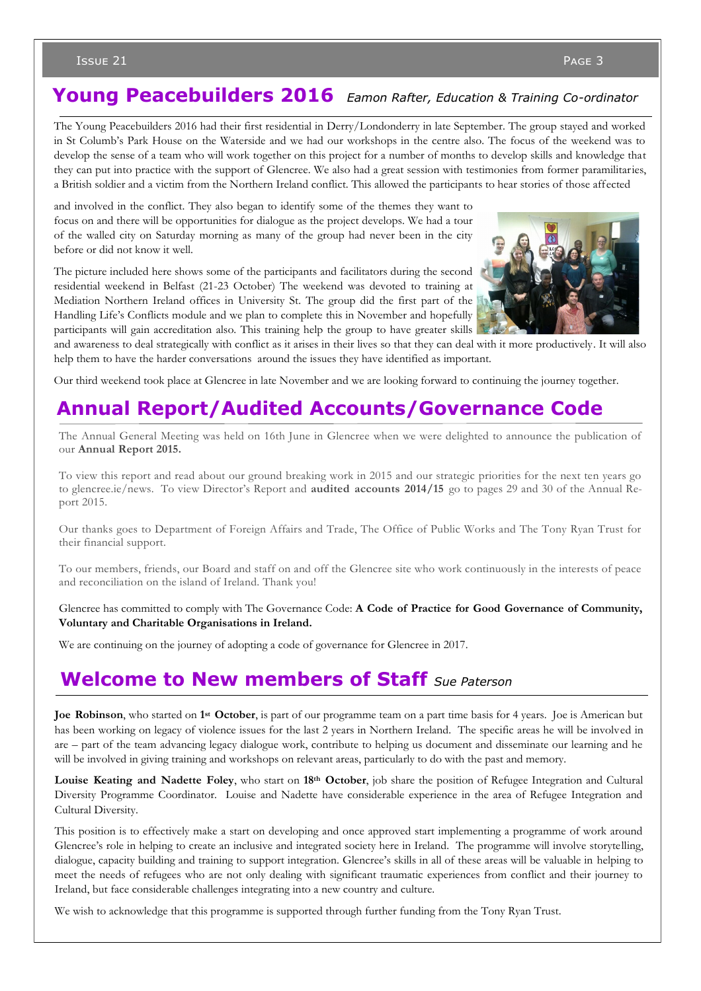### Issue 21  $\qquad$  Page 3  $\qquad$  Page 3  $\qquad$  Page 3  $\qquad$  Page 3  $\qquad$

# **Young Peacebuilders 2016** *Eamon Rafter, Education & Training Co-ordinator*

The Young Peacebuilders 2016 had their first residential in Derry/Londonderry in late September. The group stayed and worked in St Columb's Park House on the Waterside and we had our workshops in the centre also. The focus of the weekend was to develop the sense of a team who will work together on this project for a number of months to develop skills and knowledge that they can put into practice with the support of Glencree. We also had a great session with testimonies from former paramilitaries, a British soldier and a victim from the Northern Ireland conflict. This allowed the participants to hear stories of those affected

and involved in the conflict. They also began to identify some of the themes they want to focus on and there will be opportunities for dialogue as the project develops. We had a tour of the walled city on Saturday morning as many of the group had never been in the city before or did not know it well.

The picture included here shows some of the participants and facilitators during the second residential weekend in Belfast (21-23 October) The weekend was devoted to training at Mediation Northern Ireland offices in University St. The group did the first part of the Handling Life's Conflicts module and we plan to complete this in November and hopefully participants will gain accreditation also. This training help the group to have greater skills



and awareness to deal strategically with conflict as it arises in their lives so that they can deal with it more productively. It will also help them to have the harder conversations around the issues they have identified as important.

Our third weekend took place at Glencree in late November and we are looking forward to continuing the journey together.

# **Annual Report/Audited Accounts/Governance Code**

The Annual General Meeting was held on 16th June in Glencree when we were delighted to announce the publication of our **Annual Report 2015.**

To view this report and read about our ground breaking work in 2015 and our strategic priorities for the next ten years go to glencree.ie/news. To view Director's Report and **audited accounts 2014/15** go to pages 29 and 30 of the Annual Report 2015.

Our thanks goes to Department of Foreign Affairs and Trade, The Office of Public Works and The Tony Ryan Trust for their financial support.

To our members, friends, our Board and staff on and off the Glencree site who work continuously in the interests of peace and reconciliation on the island of Ireland. Thank you!

Glencree has committed to comply with The Governance Code: **A Code of Practice for Good Governance of Community, Voluntary and Charitable Organisations in Ireland.**

We are continuing on the journey of adopting a code of governance for Glencree in 2017.

### **Welcome to New members of Staff** *Sue Paterson*

**Joe Robinson**, who started on **1 st October**, is part of our programme team on a part time basis for 4 years. Joe is American but has been working on legacy of violence issues for the last 2 years in Northern Ireland. The specific areas he will be involved in are – part of the team advancing legacy dialogue work, contribute to helping us document and disseminate our learning and he will be involved in giving training and workshops on relevant areas, particularly to do with the past and memory.

**Louise Keating and Nadette Foley**, who start on **18th October**, job share the position of Refugee Integration and Cultural Diversity Programme Coordinator. Louise and Nadette have considerable experience in the area of Refugee Integration and Cultural Diversity.

This position is to effectively make a start on developing and once approved start implementing a programme of work around Glencree's role in helping to create an inclusive and integrated society here in Ireland. The programme will involve storytelling, dialogue, capacity building and training to support integration. Glencree's skills in all of these areas will be valuable in helping to meet the needs of refugees who are not only dealing with significant traumatic experiences from conflict and their journey to Ireland, but face considerable challenges integrating into a new country and culture.

We wish to acknowledge that this programme is supported through further funding from the Tony Ryan Trust.